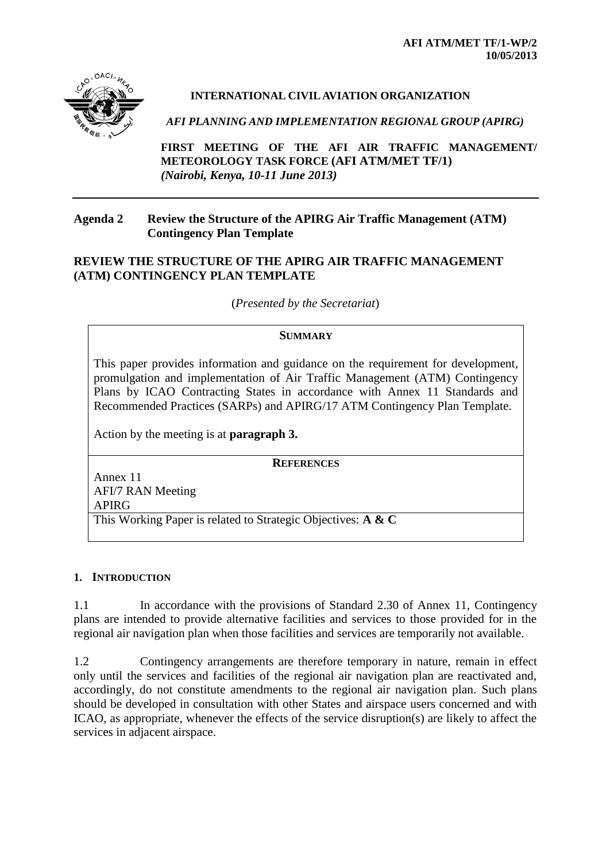

# **INTERNATIONAL CIVIL AVIATION ORGANIZATION**

*AFI PLANNING AND IMPLEMENTATION REGIONAL GROUP (APIRG)*

**FIRST MEETING OF THE AFI AIR TRAFFIC MANAGEMENT/ METEOROLOGY TASK FORCE (AFI ATM/MET TF/1)** *(Nairobi, Kenya, 10-11 June 2013)*

### **Agenda 2 Review the Structure of the APIRG Air Traffic Management (ATM) Contingency Plan Template**

# **REVIEW THE STRUCTURE OF THE APIRG AIR TRAFFIC MANAGEMENT (ATM) CONTINGENCY PLAN TEMPLATE**

(*Presented by the Secretariat*)

#### **SUMMARY**

This paper provides information and guidance on the requirement for development, promulgation and implementation of Air Traffic Management (ATM) Contingency Plans by ICAO Contracting States in accordance with Annex 11 Standards and Recommended Practices (SARPs) and APIRG/17 ATM Contingency Plan Template.

Action by the meeting is at **paragraph 3.**

**REFERENCES**

Annex 11 AFI/7 RAN Meeting APIRG This Working Paper is related to Strategic Objectives: **A & C**

## **1. INTRODUCTION**

1.1 In accordance with the provisions of Standard 2.30 of Annex 11, Contingency plans are intended to provide alternative facilities and services to those provided for in the regional air navigation plan when those facilities and services are temporarily not available.

1.2 Contingency arrangements are therefore temporary in nature, remain in effect only until the services and facilities of the regional air navigation plan are reactivated and, accordingly, do not constitute amendments to the regional air navigation plan. Such plans should be developed in consultation with other States and airspace users concerned and with ICAO, as appropriate, whenever the effects of the service disruption(s) are likely to affect the services in adjacent airspace.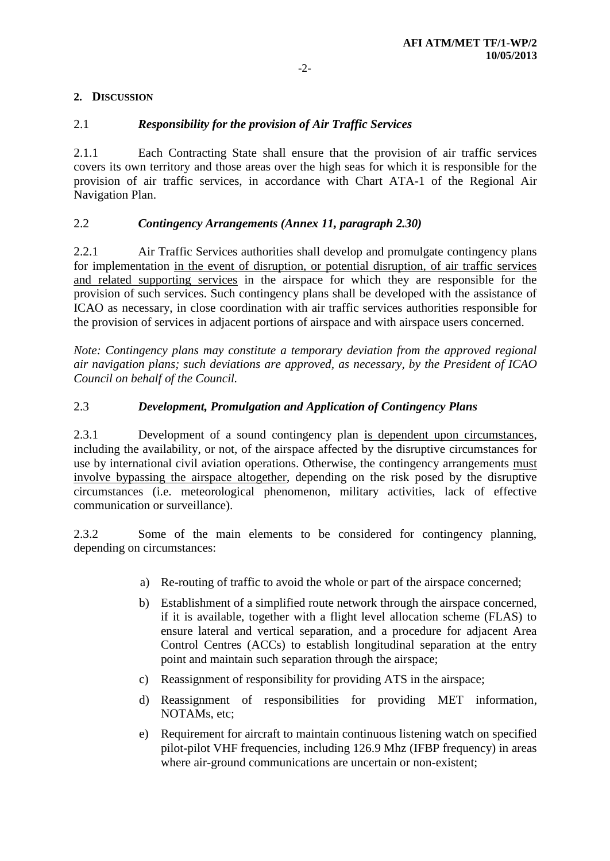#### -2-

# **2. DISCUSSION**

## 2.1 *Responsibility for the provision of Air Traffic Services*

2.1.1 Each Contracting State shall ensure that the provision of air traffic services covers its own territory and those areas over the high seas for which it is responsible for the provision of air traffic services, in accordance with Chart ATA-1 of the Regional Air Navigation Plan.

### 2.2 *Contingency Arrangements (Annex 11, paragraph 2.30)*

2.2.1 Air Traffic Services authorities shall develop and promulgate contingency plans for implementation in the event of disruption, or potential disruption, of air traffic services and related supporting services in the airspace for which they are responsible for the provision of such services. Such contingency plans shall be developed with the assistance of ICAO as necessary, in close coordination with air traffic services authorities responsible for the provision of services in adjacent portions of airspace and with airspace users concerned.

*Note: Contingency plans may constitute a temporary deviation from the approved regional air navigation plans; such deviations are approved, as necessary, by the President of ICAO Council on behalf of the Council.*

### 2.3 *Development, Promulgation and Application of Contingency Plans*

2.3.1 Development of a sound contingency plan is dependent upon circumstances, including the availability, or not, of the airspace affected by the disruptive circumstances for use by international civil aviation operations. Otherwise, the contingency arrangements must involve bypassing the airspace altogether, depending on the risk posed by the disruptive circumstances (i.e. meteorological phenomenon, military activities, lack of effective communication or surveillance).

2.3.2 Some of the main elements to be considered for contingency planning, depending on circumstances:

- a) Re-routing of traffic to avoid the whole or part of the airspace concerned;
- b) Establishment of a simplified route network through the airspace concerned, if it is available, together with a flight level allocation scheme (FLAS) to ensure lateral and vertical separation, and a procedure for adjacent Area Control Centres (ACCs) to establish longitudinal separation at the entry point and maintain such separation through the airspace;
- c) Reassignment of responsibility for providing ATS in the airspace;
- d) Reassignment of responsibilities for providing MET information, NOTAMs, etc;
- e) Requirement for aircraft to maintain continuous listening watch on specified pilot-pilot VHF frequencies, including 126.9 Mhz (IFBP frequency) in areas where air-ground communications are uncertain or non-existent;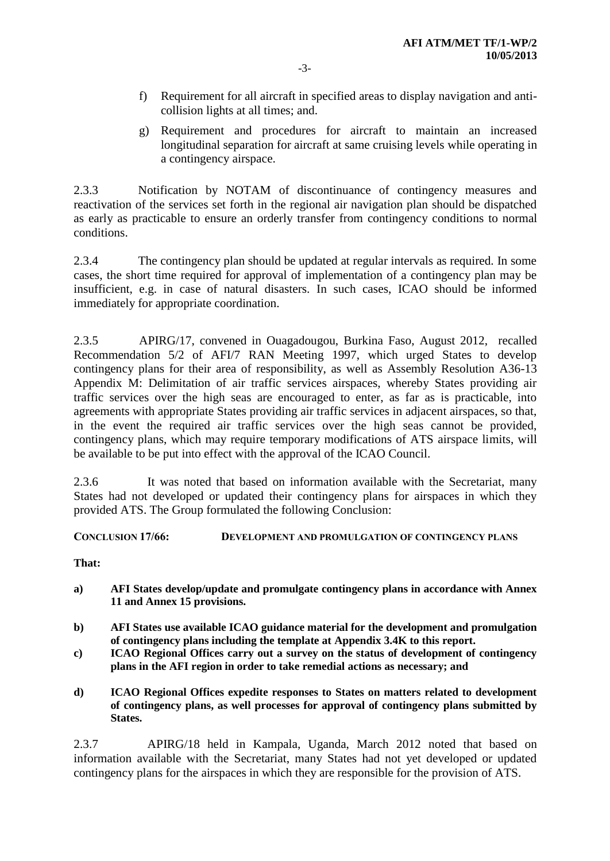- f) Requirement for all aircraft in specified areas to display navigation and anticollision lights at all times; and.
- g) Requirement and procedures for aircraft to maintain an increased longitudinal separation for aircraft at same cruising levels while operating in a contingency airspace.

2.3.3 Notification by NOTAM of discontinuance of contingency measures and reactivation of the services set forth in the regional air navigation plan should be dispatched as early as practicable to ensure an orderly transfer from contingency conditions to normal conditions.

2.3.4 The contingency plan should be updated at regular intervals as required. In some cases, the short time required for approval of implementation of a contingency plan may be insufficient, e.g. in case of natural disasters. In such cases, ICAO should be informed immediately for appropriate coordination.

2.3.5 APIRG/17, convened in Ouagadougou, Burkina Faso, August 2012, recalled Recommendation 5/2 of AFI/7 RAN Meeting 1997, which urged States to develop contingency plans for their area of responsibility, as well as Assembly Resolution A36-13 Appendix M: Delimitation of air traffic services airspaces, whereby States providing air traffic services over the high seas are encouraged to enter, as far as is practicable, into agreements with appropriate States providing air traffic services in adjacent airspaces, so that, in the event the required air traffic services over the high seas cannot be provided, contingency plans, which may require temporary modifications of ATS airspace limits, will be available to be put into effect with the approval of the ICAO Council.

2.3.6 It was noted that based on information available with the Secretariat, many States had not developed or updated their contingency plans for airspaces in which they provided ATS. The Group formulated the following Conclusion:

**CONCLUSION 17/66: DEVELOPMENT AND PROMULGATION OF CONTINGENCY PLANS**

**That:**

- **a) AFI States develop/update and promulgate contingency plans in accordance with Annex 11 and Annex 15 provisions.**
- **b) AFI States use available ICAO guidance material for the development and promulgation of contingency plans including the template at Appendix 3.4K to this report.**
- **c) ICAO Regional Offices carry out a survey on the status of development of contingency plans in the AFI region in order to take remedial actions as necessary; and**
- **d) ICAO Regional Offices expedite responses to States on matters related to development of contingency plans, as well processes for approval of contingency plans submitted by States.**

2.3.7 APIRG/18 held in Kampala, Uganda, March 2012 noted that based on information available with the Secretariat, many States had not yet developed or updated contingency plans for the airspaces in which they are responsible for the provision of ATS.